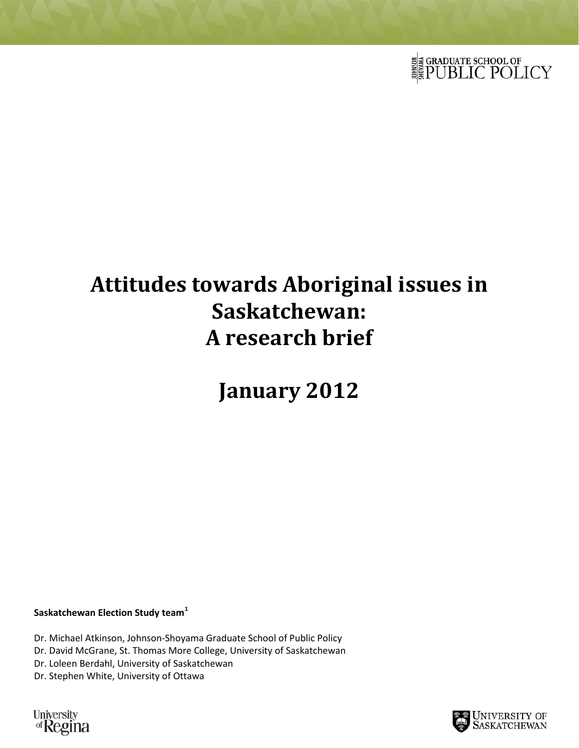

# **Attitudes towards Aboriginal issues in Saskatchewan: A research brief**

**January 2012**

**Saskatchewan Election Study team[1](#page-4-0)**

Dr. Michael Atkinson, Johnson-Shoyama Graduate School of Public Policy Dr. David McGrane, St. Thomas More College, University of Saskatchewan Dr. Loleen Berdahl, University of Saskatchewan Dr. Stephen White, University of Ottawa

University<br>of Regina

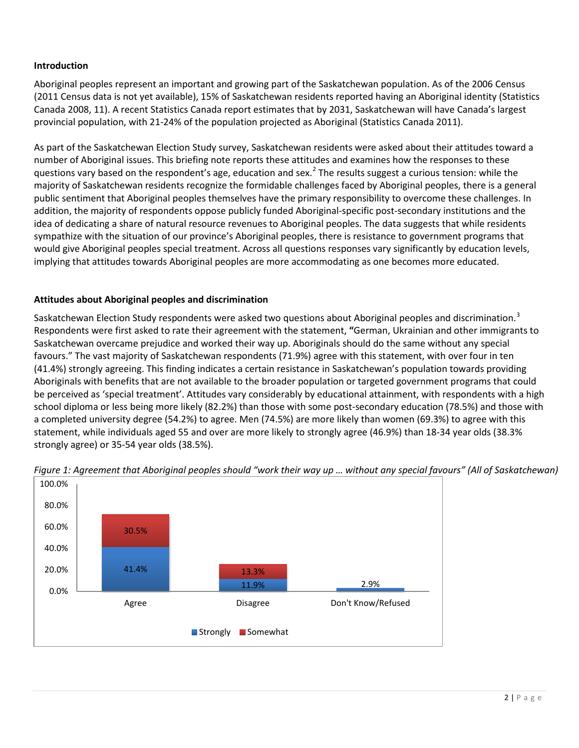## **Introduction**

Aboriginal peoples represent an important and growing part of the Saskatchewan population. As of the 2006 Census (2011 Census data is not yet available), 15% of Saskatchewan residents reported having an Aboriginal identity (Statistics Canada 2008, 11). A recent Statistics Canada report estimates that by 2031, Saskatchewan will have Canada's largest provincial population, with 21-24% of the population projected as Aboriginal (Statistics Canada 2011).

As part of the Saskatchewan Election Study survey, Saskatchewan residents were asked about their attitudes toward a number of Aboriginal issues. This briefing note reports these attitudes and examines how the responses to these questions vary based on the respondent's age, education and sex.<sup>[2](#page-4-1)</sup> The results suggest a curious tension: while the majority of Saskatchewan residents recognize the formidable challenges faced by Aboriginal peoples, there is a general public sentiment that Aboriginal peoples themselves have the primary responsibility to overcome these challenges. In addition, the majority of respondents oppose publicly funded Aboriginal-specific post-secondary institutions and the idea of dedicating a share of natural resource revenues to Aboriginal peoples. The data suggests that while residents sympathize with the situation of our province's Aboriginal peoples, there is resistance to government programs that would give Aboriginal peoples special treatment. Across all questions responses vary significantly by education levels, implying that attitudes towards Aboriginal peoples are more accommodating as one becomes more educated.

## **Attitudes about Aboriginal peoples and discrimination**

Saskatchewan Election Study respondents were asked two questions about Aboriginal peoples and discrimination.<sup>[3](#page-4-2)</sup> Respondents were first asked to rate their agreement with the statement, **"**German, Ukrainian and other immigrants to Saskatchewan overcame prejudice and worked their way up. Aboriginals should do the same without any special favours." The vast majority of Saskatchewan respondents (71.9%) agree with this statement, with over four in ten (41.4%) strongly agreeing. This finding indicates a certain resistance in Saskatchewan's population towards providing Aboriginals with benefits that are not available to the broader population or targeted government programs that could be perceived as 'special treatment'. Attitudes vary considerably by educational attainment, with respondents with a high school diploma or less being more likely (82.2%) than those with some post-secondary education (78.5%) and those with a completed university degree (54.2%) to agree. Men (74.5%) are more likely than women (69.3%) to agree with this statement, while individuals aged 55 and over are more likely to strongly agree (46.9%) than 18-34 year olds (38.3% strongly agree) or 35-54 year olds (38.5%).



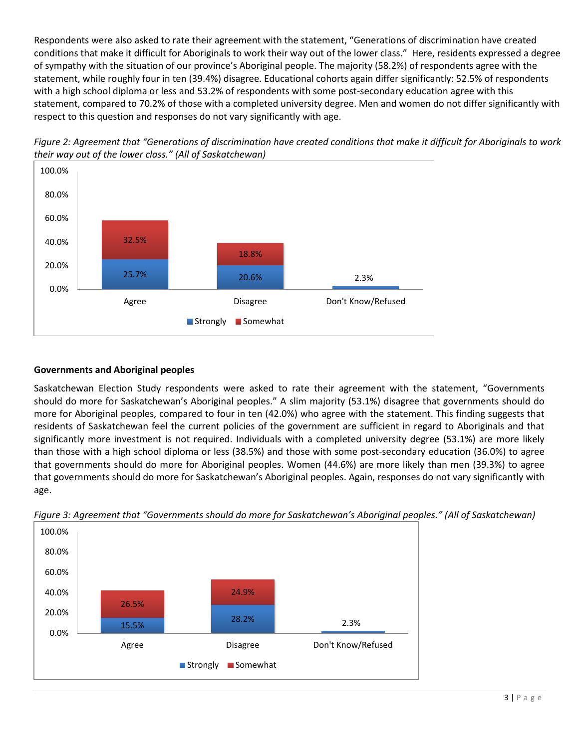Respondents were also asked to rate their agreement with the statement, "Generations of discrimination have created conditions that make it difficult for Aboriginals to work their way out of the lower class." Here, residents expressed a degree of sympathy with the situation of our province's Aboriginal people. The majority (58.2%) of respondents agree with the statement, while roughly four in ten (39.4%) disagree. Educational cohorts again differ significantly: 52.5% of respondents with a high school diploma or less and 53.2% of respondents with some post-secondary education agree with this statement, compared to 70.2% of those with a completed university degree. Men and women do not differ significantly with respect to this question and responses do not vary significantly with age.



25.7% 20.6% 2.3%

Strongly Somewhat

Agree **Disagree** Don't Know/Refused

18.8%



#### **Governments and Aboriginal peoples**

0.0%

20.0%

40.0%

Saskatchewan Election Study respondents were asked to rate their agreement with the statement, "Governments should do more for Saskatchewan's Aboriginal peoples." A slim majority (53.1%) disagree that governments should do more for Aboriginal peoples, compared to four in ten (42.0%) who agree with the statement. This finding suggests that residents of Saskatchewan feel the current policies of the government are sufficient in regard to Aboriginals and that significantly more investment is not required. Individuals with a completed university degree (53.1%) are more likely than those with a high school diploma or less (38.5%) and those with some post-secondary education (36.0%) to agree that governments should do more for Aboriginal peoples. Women (44.6%) are more likely than men (39.3%) to agree that governments should do more for Saskatchewan's Aboriginal peoples. Again, responses do not vary significantly with age.



*Figure 3: Agreement that "Governments should do more for Saskatchewan's Aboriginal peoples." (All of Saskatchewan)*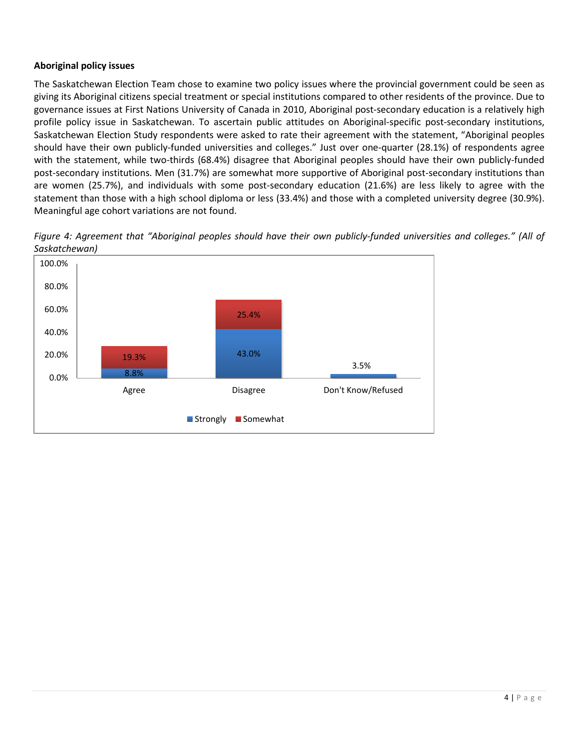# **Aboriginal policy issues**

The Saskatchewan Election Team chose to examine two policy issues where the provincial government could be seen as giving its Aboriginal citizens special treatment or special institutions compared to other residents of the province. Due to governance issues at First Nations University of Canada in 2010, Aboriginal post-secondary education is a relatively high profile policy issue in Saskatchewan. To ascertain public attitudes on Aboriginal-specific post-secondary institutions, Saskatchewan Election Study respondents were asked to rate their agreement with the statement, "Aboriginal peoples should have their own publicly-funded universities and colleges." Just over one-quarter (28.1%) of respondents agree with the statement, while two-thirds (68.4%) disagree that Aboriginal peoples should have their own publicly-funded post-secondary institutions. Men (31.7%) are somewhat more supportive of Aboriginal post-secondary institutions than are women (25.7%), and individuals with some post-secondary education (21.6%) are less likely to agree with the statement than those with a high school diploma or less (33.4%) and those with a completed university degree (30.9%). Meaningful age cohort variations are not found.



*Figure 4: Agreement that "Aboriginal peoples should have their own publicly-funded universities and colleges." (All of Saskatchewan)*